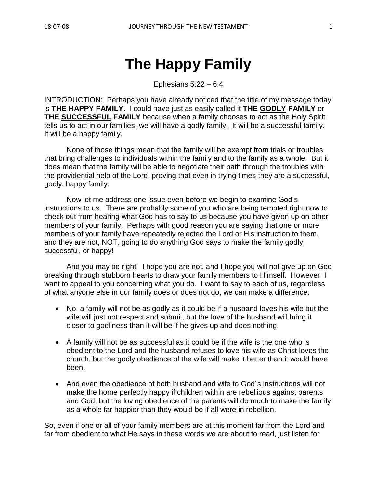Ephesians 5:22 – 6:4

INTRODUCTION: Perhaps you have already noticed that the title of my message today is **THE HAPPY FAMILY**. I could have just as easily called it **THE GODLY FAMILY** or **THE SUCCESSFUL FAMILY** because when a family chooses to act as the Holy Spirit tells us to act in our families, we will have a godly family. It will be a successful family. It will be a happy family.

None of those things mean that the family will be exempt from trials or troubles that bring challenges to individuals within the family and to the family as a whole. But it does mean that the family will be able to negotiate their path through the troubles with the providential help of the Lord, proving that even in trying times they are a successful, godly, happy family.

Now let me address one issue even before we begin to examine God's instructions to us. There are probably some of you who are being tempted right now to check out from hearing what God has to say to us because you have given up on other members of your family. Perhaps with good reason you are saying that one or more members of your family have repeatedly rejected the Lord or His instruction to them, and they are not, NOT, going to do anything God says to make the family godly, successful, or happy!

And you may be right. I hope you are not, and I hope you will not give up on God breaking through stubborn hearts to draw your family members to Himself. However, I want to appeal to you concerning what you do. I want to say to each of us, regardless of what anyone else in our family does or does not do, we can make a difference.

- No, a family will not be as godly as it could be if a husband loves his wife but the wife will just not respect and submit, but the love of the husband will bring it closer to godliness than it will be if he gives up and does nothing.
- A family will not be as successful as it could be if the wife is the one who is obedient to the Lord and the husband refuses to love his wife as Christ loves the church, but the godly obedience of the wife will make it better than it would have been.
- And even the obedience of both husband and wife to God's instructions will not make the home perfectly happy if children within are rebellious against parents and God, but the loving obedience of the parents will do much to make the family as a whole far happier than they would be if all were in rebellion.

So, even if one or all of your family members are at this moment far from the Lord and far from obedient to what He says in these words we are about to read, just listen for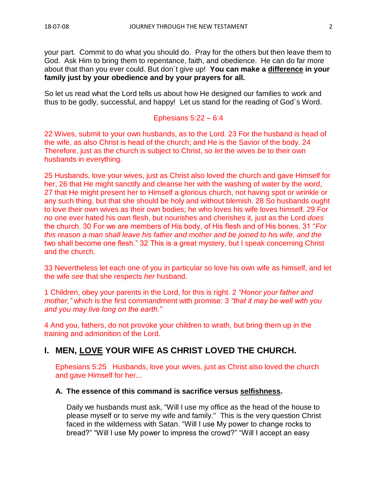your part. Commit to do what you should do. Pray for the others but then leave them to God. Ask Him to bring them to repentance, faith, and obedience. He can do far more about that than you ever could. But don´t give up! **You can make a difference in your family just by your obedience and by your prayers for all.**

So let us read what the Lord tells us about how He designed our families to work and thus to be godly, successful, and happy! Let us stand for the reading of God´s Word.

Ephesians 5:22 – 6:4

22 Wives, submit to your own husbands, as to the Lord. 23 For the husband is head of the wife, as also Christ is head of the church; and He is the Savior of the body. 24 Therefore, just as the church is subject to Christ, so *let* the wives *be* to their own husbands in everything.

25 Husbands, love your wives, just as Christ also loved the church and gave Himself for her, 26 that He might sanctify and cleanse her with the washing of water by the word, 27 that He might present her to Himself a glorious church, not having spot or wrinkle or any such thing, but that she should be holy and without blemish. 28 So husbands ought to love their own wives as their own bodies; he who loves his wife loves himself. 29 For no one ever hated his own flesh, but nourishes and cherishes it, just as the Lord *does* the church. 30 For we are members of His body, of His flesh and of His bones. 31 "*For this reason a man shall leave his father and mother and be joined to his wife, and the* two shall become one flesh." 32 This is a great mystery, but I speak concerning Christ and the church.

33 Nevertheless let each one of you in particular so love his own wife as himself, and let the wife *see* that she respects *her* husband.

1 Children, obey your parents in the Lord, for this is right. 2 *"Honor your father and mother,"* which is the first commandment with promise: 3 *"that it may be well with you and you may live long on the earth."*

4 And you, fathers, do not provoke your children to wrath, but bring them up in the training and admonition of the Lord.

# **I. MEN, LOVE YOUR WIFE AS CHRIST LOVED THE CHURCH.**

Ephesians 5:25 Husbands, love your wives, just as Christ also loved the church and gave Himself for her...

# **A. The essence of this command is sacrifice versus selfishness.**

Daily we husbands must ask, "Will I use my office as the head of the house to please myself or to serve my wife and family." This is the very question Christ faced in the wilderness with Satan. "Will I use My power to change rocks to bread?" "Will I use My power to impress the crowd?" "Will I accept an easy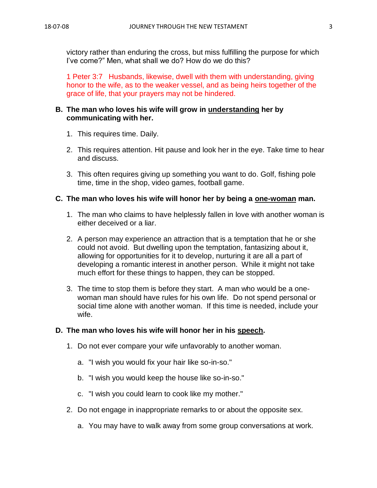victory rather than enduring the cross, but miss fulfilling the purpose for which I've come?" Men, what shall we do? How do we do this?

1 Peter 3:7 Husbands, likewise, dwell with them with understanding, giving honor to the wife, as to the weaker vessel, and as being heirs together of the grace of life, that your prayers may not be hindered.

# **B. The man who loves his wife will grow in understanding her by communicating with her.**

- 1. This requires time. Daily.
- 2. This requires attention. Hit pause and look her in the eye. Take time to hear and discuss.
- 3. This often requires giving up something you want to do. Golf, fishing pole time, time in the shop, video games, football game.

## **C. The man who loves his wife will honor her by being a one-woman man.**

- 1. The man who claims to have helplessly fallen in love with another woman is either deceived or a liar.
- 2. A person may experience an attraction that is a temptation that he or she could not avoid. But dwelling upon the temptation, fantasizing about it, allowing for opportunities for it to develop, nurturing it are all a part of developing a romantic interest in another person. While it might not take much effort for these things to happen, they can be stopped.
- 3. The time to stop them is before they start. A man who would be a onewoman man should have rules for his own life. Do not spend personal or social time alone with another woman. If this time is needed, include your wife.

# **D. The man who loves his wife will honor her in his speech.**

- 1. Do not ever compare your wife unfavorably to another woman.
	- a. "I wish you would fix your hair like so-in-so."
	- b. "I wish you would keep the house like so-in-so."
	- c. "I wish you could learn to cook like my mother."
- 2. Do not engage in inappropriate remarks to or about the opposite sex.
	- a. You may have to walk away from some group conversations at work.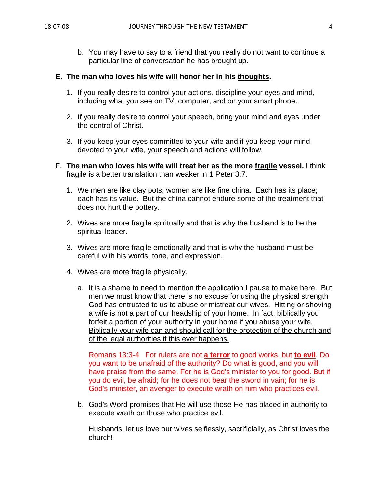b. You may have to say to a friend that you really do not want to continue a particular line of conversation he has brought up.

### **E. The man who loves his wife will honor her in his thoughts.**

- 1. If you really desire to control your actions, discipline your eyes and mind, including what you see on TV, computer, and on your smart phone.
- 2. If you really desire to control your speech, bring your mind and eyes under the control of Christ.
- 3. If you keep your eyes committed to your wife and if you keep your mind devoted to your wife, your speech and actions will follow.
- F. **The man who loves his wife will treat her as the more fragile vessel.** I think fragile is a better translation than weaker in 1 Peter 3:7.
	- 1. We men are like clay pots; women are like fine china. Each has its place; each has its value. But the china cannot endure some of the treatment that does not hurt the pottery.
	- 2. Wives are more fragile spiritually and that is why the husband is to be the spiritual leader.
	- 3. Wives are more fragile emotionally and that is why the husband must be careful with his words, tone, and expression.
	- 4. Wives are more fragile physically.
		- a. It is a shame to need to mention the application I pause to make here. But men we must know that there is no excuse for using the physical strength God has entrusted to us to abuse or mistreat our wives. Hitting or shoving a wife is not a part of our headship of your home. In fact, biblically you forfeit a portion of your authority in your home if you abuse your wife. Biblically your wife can and should call for the protection of the church and of the legal authorities if this ever happens.

Romans 13:3-4 For rulers are not **a terror** to good works, but **to evil**. Do you want to be unafraid of the authority? Do what is good, and you will have praise from the same. For he is God's minister to you for good. But if you do evil, be afraid; for he does not bear the sword in vain; for he is God's minister, an avenger to execute wrath on him who practices evil.

b. God's Word promises that He will use those He has placed in authority to execute wrath on those who practice evil.

Husbands, let us love our wives selflessly, sacrificially, as Christ loves the church!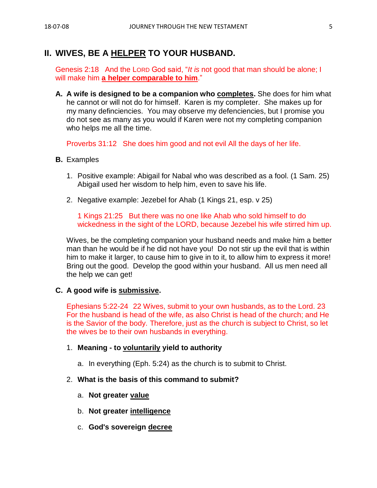# **II. WIVES, BE A HELPER TO YOUR HUSBAND.**

Genesis 2:18 And the LORD God said, "*It is* not good that man should be alone; I will make him **a helper comparable to him**."

**A. A wife is designed to be a companion who completes.** She does for him what he cannot or will not do for himself. Karen is my completer. She makes up for my many definciencies. You may observe my defenciencies, but I promise you do not see as many as you would if Karen were not my completing companion who helps me all the time.

Proverbs 31:12 She does him good and not evil All the days of her life.

- **B.** Examples
	- 1. Positive example: Abigail for Nabal who was described as a fool. (1 Sam. 25) Abigail used her wisdom to help him, even to save his life.
	- 2. Negative example: Jezebel for Ahab (1 Kings 21, esp. v 25)

1 Kings 21:25 But there was no one like Ahab who sold himself to do wickedness in the sight of the LORD, because Jezebel his wife stirred him up.

Wives, be the completing companion your husband needs and make him a better man than he would be if he did not have you! Do not stir up the evil that is within him to make it larger, to cause him to give in to it, to allow him to express it more! Bring out the good. Develop the good within your husband. All us men need all the help we can get!

#### **C. A good wife is submissive.**

Ephesians 5:22-24 22 Wives, submit to your own husbands, as to the Lord. 23 For the husband is head of the wife, as also Christ is head of the church; and He is the Savior of the body. Therefore, just as the church is subject to Christ, so let the wives be to their own husbands in everything.

#### 1. **Meaning - to voluntarily yield to authority**

a. In everything (Eph. 5:24) as the church is to submit to Christ.

#### 2. **What is the basis of this command to submit?**

- a. **Not greater value**
- b. **Not greater intelligence**
- c. **God's sovereign decree**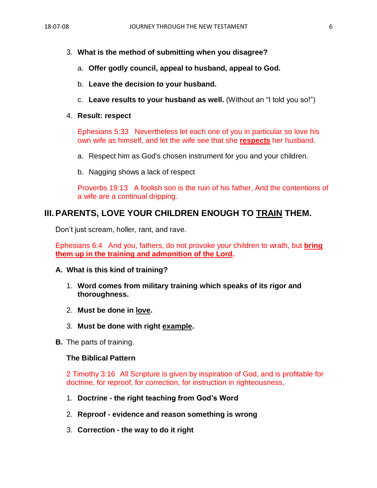- 3. **What is the method of submitting when you disagree?**
	- a. **Offer godly council, appeal to husband, appeal to God.**
	- b. **Leave the decision to your husband.**
	- c. **Leave results to your husband as well.** (Without an "I told you so!")

### 4. **Result: respect**

Ephesians 5:33 Nevertheless let each one of you in particular so love his own wife as himself, and let the wife see that she **respects** her husband.

- a. Respect him as God's chosen instrument for you and your children.
- b. Nagging shows a lack of respect

Proverbs 19:13 A foolish son is the ruin of his father, And the contentions of a wife are a continual dripping.

# **III. PARENTS, LOVE YOUR CHILDREN ENOUGH TO TRAIN THEM.**

Don't just scream, holler, rant, and rave.

Ephesians 6:4 And you, fathers, do not provoke your children to wrath, but **bring them up in the training and admonition of the Lord.**

### **A. What is this kind of training?**

- 1. **Word comes from military training which speaks of its rigor and thoroughness.**
- 2. **Must be done in love.**
- 3. **Must be done with right example.**
- **B.** The parts of training.

### **The Biblical Pattern**

2 Timothy 3:16 All Scripture is given by inspiration of God, and is profitable for doctrine, for reproof, for correction, for instruction in righteousness,

- 1. **Doctrine - the right teaching from God's Word**
- 2. **Reproof - evidence and reason something is wrong**
- 3. **Correction - the way to do it right**